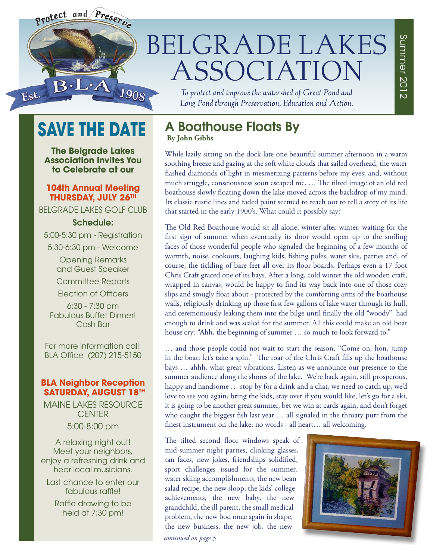

## **BELGRADE LAKES** ASSOCIATION

To protect and improve the watershed of Great Pond and Long Pond through Preservation, Education and Action.

Summer 2012

Summer 2012

## **SAVE THE DATE**

**The Belgrade Lakes Association Invites You to Celebrate at our**

#### **104th Annual Meeting THURSDAY, JULY 26TH**

BELGRADE LAKES GOLF CLUB

#### Schedule:

5:00-5:30 pm - Registration 5:30-6:30 pm - Welcome

> Opening Remarks and Guest Speaker Committee Reports Election of Officers

6:30 - 7:30 pm Fabulous Buffet Dinner! Cash Bar

For more information call: BLA Office (207) 215-5150

#### **BLA Neighbor Reception SATURDAY, AUGUST 18TH**

MAINE LAKES RESOURCE **CENTER** 5:00-8:00 pm

A relaxing night out! Meet your neighbors, enjoy a refreshing drink and hear local musicians.

Last chance to enter our fabulous raffle!

Raffle drawing to be held at 7:30 pm!

## A Boathouse Floats By

 **By John Gibbs**

While lazily sitting on the dock late one beautiful summer afternoon in a warm soothing breeze and gazing at the soft white clouds that sailed overhead, the water flashed diamonds of light in mesmerizing patterns before my eyes; and, without much struggle, consciousness soon escaped me. … The tilted image of an old red boathouse slowly floating down the lake moved across the backdrop of my mind. Its classic rustic lines and faded paint seemed to reach out to tell a story of its life that started in the early 1900's. What could it possibly say?

The Old Red Boathouse would sit all alone, winter after winter, waiting for the first sign of summer when eventually its door would open up to the smiling faces of those wonderful people who signaled the beginning of a few months of warmth, noise, cookouts, laughing kids, fishing poles, water skis, parties and, of course, the tickling of bare feet all over its floor boards. Perhaps even a 17 foot Chris Craft graced one of its bays. After a long, cold winter the old wooden craft, wrapped in canvas, would be happy to find its way back into one of those cozy slips and smugly float about - protected by the comforting arms of the boathouse walls, religiously drinking up those first few gallons of lake water through its hull, and ceremoniously leaking them into the bilge until finally the old "woody" had enough to drink and was sealed for the summer. All this could make an old boat house cry: "Ahh, the beginning of summer … so much to look forward to."

… and those people could not wait to start the season. "Come on, hon, jump in the boat; let's take a spin." The roar of the Chris Craft fills up the boathouse bays … ahhh, what great vibrations. Listen as we announce our presence to the summer audience along the shores of the lake. We're back again, still prosperous, happy and handsome … stop by for a drink and a chat, we need to catch up, we'd love to see you again, bring the kids, stay over if you would like, let's go for a ski, it is going to be another great summer, bet we win at cards again, and don't forget who caught the biggest fish last year … all signaled in the throaty purr from the finest instrument on the lake; no words - all heart… all welcoming.

The tilted second floor windows speak of mid-summer night parties, clinking glasses, tan faces, new jokes, friendships solidified, sport challenges issued for the summer, water skiing accomplishments, the new bean salad recipe, the new sloop, the kids' college achievements, the new baby, the new grandchild, the ill parent, the small medical problem, the new bod once again in shape, the new business, the new job, the new



*continued on page 5*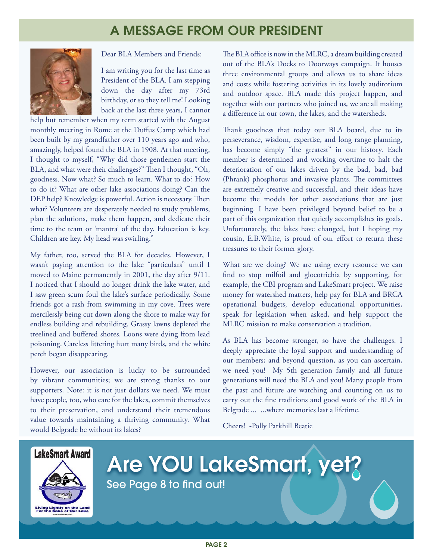## A MESSAGE FROM OUR PRESIDENT



Dear BLA Members and Friends:

I am writing you for the last time as President of the BLA. I am stepping down the day after my 73rd birthday, or so they tell me! Looking back at the last three years, I cannot

help but remember when my term started with the August monthly meeting in Rome at the Duffus Camp which had been built by my grandfather over 110 years ago and who, amazingly, helped found the BLA in 1908. At that meeting, I thought to myself, "Why did those gentlemen start the BLA, and what were their challenges?" Then I thought, "Oh, goodness. Now what? So much to learn. What to do? How to do it? What are other lake associations doing? Can the DEP help? Knowledge is powerful. Action is necessary. Then what? Volunteers are desperately needed to study problems, plan the solutions, make them happen, and dedicate their time to the team or 'mantra' of the day. Education is key. Children are key. My head was swirling."

My father, too, served the BLA for decades. However, I wasn't paying attention to the lake "particulars" until I moved to Maine permanently in 2001, the day after 9/11. I noticed that I should no longer drink the lake water, and I saw green scum foul the lake's surface periodically. Some friends got a rash from swimming in my cove. Trees were mercilessly being cut down along the shore to make way for endless building and rebuilding. Grassy lawns depleted the treelined and buffered shores. Loons were dying from lead poisoning. Careless littering hurt many birds, and the white perch began disappearing.

However, our association is lucky to be surrounded by vibrant communities; we are strong thanks to our supporters. Note: it is not just dollars we need. We must have people, too, who care for the lakes, commit themselves to their preservation, and understand their tremendous value towards maintaining a thriving community. What would Belgrade be without its lakes?

The BLA office is now in the MLRC, a dream building created out of the BLA's Docks to Doorways campaign. It houses three environmental groups and allows us to share ideas and costs while fostering activities in its lovely auditorium and outdoor space. BLA made this project happen, and together with our partners who joined us, we are all making a difference in our town, the lakes, and the watersheds.

Thank goodness that today our BLA board, due to its perseverance, wisdom, expertise, and long range planning, has become simply "the greatest" in our history. Each member is determined and working overtime to halt the deterioration of our lakes driven by the bad, bad, bad (Phrank) phosphorus and invasive plants. The committees are extremely creative and successful, and their ideas have become the models for other associations that are just beginning. I have been privileged beyond belief to be a part of this organization that quietly accomplishes its goals. Unfortunately, the lakes have changed, but I hoping my cousin, E.B.White, is proud of our effort to return these treasures to their former glory.

What are we doing? We are using every resource we can find to stop milfoil and gloeotrichia by supporting, for example, the CBI program and LakeSmart project. We raise money for watershed matters, help pay for BLA and BRCA operational budgets, develop educational opportunities, speak for legislation when asked, and help support the MLRC mission to make conservation a tradition.

As BLA has become stronger, so have the challenges. I deeply appreciate the loyal support and understanding of our members; and beyond question, as you can ascertain, we need you! My 5th generation family and all future generations will need the BLA and you! Many people from the past and future are watching and counting on us to carry out the fine traditions and good work of the BLA in Belgrade ... ...where memories last a lifetime.

Cheers! -Polly Parkhill Beatie





# Are YOU LakeSmart, yet?

PAGE 2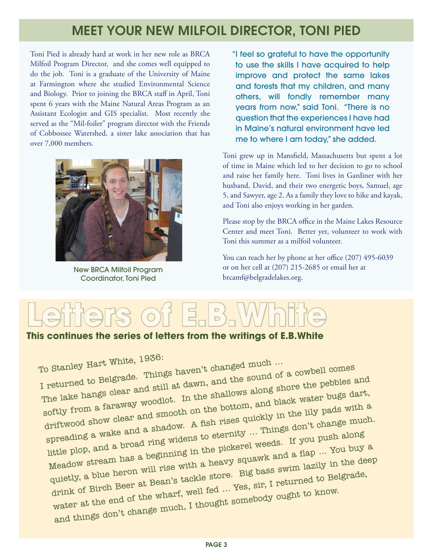## MEET YOUR NEW MILFOIL DIRECTOR, TONI PIED

Toni Pied is already hard at work in her new role as BRCA Milfoil Program Director, and she comes well equipped to do the job. Toni is a graduate of the University of Maine at Farmington where she studied Environmental Science and Biology. Prior to joining the BRCA staff in April, Toni spent 6 years with the Maine Natural Areas Program as an Assistant Ecologist and GIS specialist. Most recently she served as the "Mil-foiler" program director with the Friends of Cobbossee Watershed, a sister lake association that has over 7,000 members.



New BRCA Milfoil Program Coordinator, Toni Pied

"I feel so grateful to have the opportunity to use the skills I have acquired to help improve and protect the same lakes and forests that my children, and many others, will fondly remember many years from now," said Toni. "There is no question that the experiences I have had in Maine's natural environment have led me to where I am today," she added.

Toni grew up in Mansfield, Massachusetts but spent a lot of time in Maine which led to her decision to go to school and raise her family here. Toni lives in Gardiner with her husband, David, and their two energetic boys, Samuel, age 5, and Sawyer, age 2. As a family they love to hike and kayak, and Toni also enjoys working in her garden.

Please stop by the BRCA office in the Maine Lakes Resource Center and meet Toni. Better yet, volunteer to work with Toni this summer as a milfoil volunteer.

You can reach her by phone at her office (207) 495-6039 or on her cell at (207) 215-2685 or email her at brcamf@belgradelakes.org.

## **Letters of E.B.White**

#### **This continues the series of letters from the writings of E.B.White**

To Stanley Hart White, 1930.<br>I returned to Belgrade. Things haven't changed much ...  $_{\rm Io}$  Stanley Hart White, 1990.<br>I returned to Belgrade. Things haven't changed much  $_{\rm II}$ . To Stanley  $\frac{1}{10}$  of a cowbell comes in returned to Belgrade. Things haven't changed mass of a cowbell comes in returned to Belgrade. Things haven, and the sound of a cowbell comes a returned to Belgrade. Things day a softly from a faraway woodlot. In the shallows along shore the pebbles and driftwood show clear and smooth on the bottom, and black water bugs dart, spreading a wake and a shadow. A fish rises quickly in the lily pads with a little plop, and a broad ring widens to eternity … Things don't change much. Meadow stream has a beginning in the pickerel weeds. If you push along quietly, a blue heron will rise with a heavy squawk and a flap  $\ldots$  You buy a quietly, a blue heron will rise with a heavy squawk and a flap drink of Birch Beer at Bean's tackle store. Big bass swim lazily in the deep water at the end of the wharf, well fed ... Yes, sir, I returned to Belgrade, and things don't change much, I thought somebody ought to know.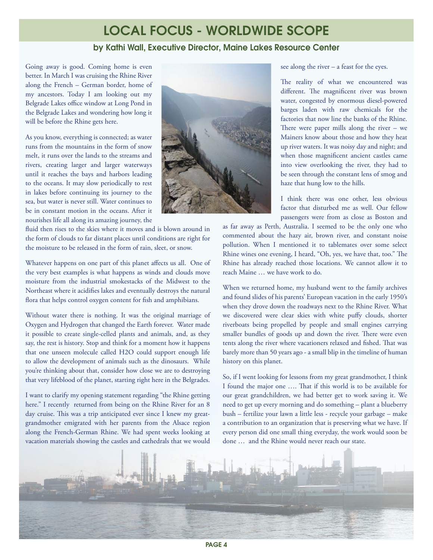### LOCAL FOCUS - WORLDWIDE SCOPE

#### by Kathi Wall, Executive Director, Maine Lakes Resource Center

Going away is good. Coming home is even better. In March I was cruising the Rhine River along the French – German border, home of my ancestors. Today I am looking out my Belgrade Lakes office window at Long Pond in the Belgrade Lakes and wondering how long it will be before the Rhine gets here.

As you know, everything is connected; as water runs from the mountains in the form of snow melt, it runs over the lands to the streams and rivers, creating larger and larger waterways until it reaches the bays and harbors leading to the oceans. It may slow periodically to rest in lakes before continuing its journey to the sea, but water is never still. Water continues to be in constant motion in the oceans. After it nourishes life all along its amazing journey, the

fluid then rises to the skies where it moves and is blown around in the form of clouds to far distant places until conditions are right for the moisture to be released in the form of rain, sleet, or snow.

Whatever happens on one part of this planet affects us all. One of the very best examples is what happens as winds and clouds move moisture from the industrial smokestacks of the Midwest to the Northeast where it acidifies lakes and eventually destroys the natural flora that helps control oxygen content for fish and amphibians.

Without water there is nothing. It was the original marriage of Oxygen and Hydrogen that changed the Earth forever. Water made it possible to create single-celled plants and animals, and, as they say, the rest is history. Stop and think for a moment how it happens that one unseen molecule called H2O could support enough life to allow the development of animals such as the dinosaurs. While you're thinking about that, consider how close we are to destroying that very lifeblood of the planet, starting right here in the Belgrades.

I want to clarify my opening statement regarding "the Rhine getting here." I recently returned from being on the Rhine River for an 8 day cruise. This was a trip anticipated ever since I knew my greatgrandmother emigrated with her parents from the Alsace region along the French-German Rhine. We had spent weeks looking at vacation materials showing the castles and cathedrals that we would



see along the river – a feast for the eyes.

The reality of what we encountered was different. The magnificent river was brown water, congested by enormous diesel-powered barges laden with raw chemicals for the factories that now line the banks of the Rhine. There were paper mills along the river – we Mainers know about those and how they heat up river waters. It was noisy day and night; and when those magnificent ancient castles came into view overlooking the river, they had to be seen through the constant lens of smog and haze that hung low to the hills.

I think there was one other, less obvious factor that disturbed me as well. Our fellow passengers were from as close as Boston and

as far away as Perth, Australia. I seemed to be the only one who commented about the hazy air, brown river, and constant noise pollution. When I mentioned it to tablemates over some select Rhine wines one evening, I heard, "Oh, yes, we have that, too." The Rhine has already reached those locations. We cannot allow it to reach Maine … we have work to do.

When we returned home, my husband went to the family archives and found slides of his parents' European vacation in the early 1950's when they drove down the roadways next to the Rhine River. What we discovered were clear skies with white puffy clouds, shorter riverboats being propelled by people and small engines carrying smaller bundles of goods up and down the river. There were even tents along the river where vacationers relaxed and fished. That was barely more than 50 years ago - a small blip in the timeline of human history on this planet.

So, if I went looking for lessons from my great grandmother, I think I found the major one …. That if this world is to be available for our great grandchildren, we had better get to work saving it. We need to get up every morning and do something – plant a blueberry bush – fertilize your lawn a little less - recycle your garbage – make a contribution to an organization that is preserving what we have. If every person did one small thing everyday, the work would soon be done … and the Rhine would never reach our state.

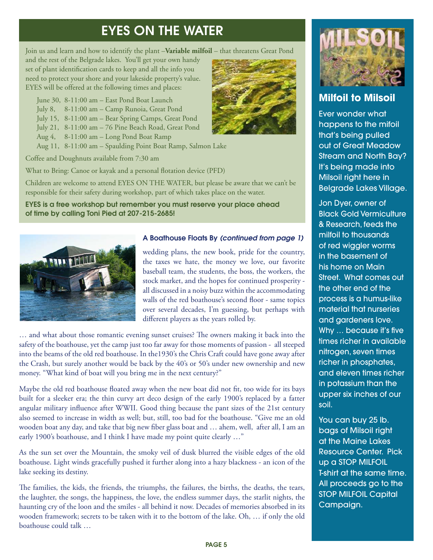## EYES ON THE WATER

Join us and learn and how to identify the plant –**Variable milfoil** – that threatens Great Pond

and the rest of the Belgrade lakes. You'll get your own handy set of plant identification cards to keep and all the info you need to protect your shore and your lakeside property's value. EYES will be offered at the following times and places:

- June 30, 8-11:00 am East Pond Boat Launch
- July 8, 8-11:00 am Camp Runoia, Great Pond
- July 15, 8-11:00 am Bear Spring Camps, Great Pond
- July 21, 8-11:00 am 76 Pine Beach Road, Great Pond
- Aug 4, 8-11:00 am Long Pond Boat Ramp
- Aug 11, 8-11:00 am Spaulding Point Boat Ramp, Salmon Lake

Coffee and Doughnuts available from 7:30 am

What to Bring: Canoe or kayak and a personal flotation device (PFD)

Children are welcome to attend EYES ON THE WATER, but please be aware that we can't be responsible for their safety during workshop, part of which takes place on the water.

EYES is a free workshop but remember you must reserve your place ahead of time by calling Toni Pied at 207-215-2685!



#### A Boathouse Floats By *(continued from page 1)*

wedding plans, the new book, pride for the country, the taxes we hate, the money we love, our favorite baseball team, the students, the boss, the workers, the stock market, and the hopes for continued prosperity all discussed in a noisy buzz within the accommodating walls of the red boathouse's second floor - same topics over several decades, I'm guessing, but perhaps with different players as the years rolled by.

… and what about those romantic evening sunset cruises? The owners making it back into the safety of the boathouse, yet the camp just too far away for those moments of passion - all steeped into the beams of the old red boathouse. In the1930's the Chris Craft could have gone away after the Crash, but surely another would be back by the 40's or 50's under new ownership and new money. "What kind of boat will you bring me in the next century?"

Maybe the old red boathouse floated away when the new boat did not fit, too wide for its bays built for a sleeker era; the thin curvy art deco design of the early 1900's replaced by a fatter angular military influence after WWII. Good thing because the pant sizes of the 21st century also seemed to increase in width as well; but, still, too bad for the boathouse. "Give me an old wooden boat any day, and take that big new fiber glass boat and … ahem, well, after all, I am an early 1900's boathouse, and I think I have made my point quite clearly ..."

As the sun set over the Mountain, the smoky veil of dusk blurred the visible edges of the old boathouse. Light winds gracefully pushed it further along into a hazy blackness - an icon of the lake seeking its destiny.

The families, the kids, the friends, the triumphs, the failures, the births, the deaths, the tears, the laughter, the songs, the happiness, the love, the endless summer days, the starlit nights, the haunting cry of the loon and the smiles - all behind it now. Decades of memories absorbed in its wooden framework; secrets to be taken with it to the bottom of the lake. Oh, … if only the old boathouse could talk …





#### **Milfoil to Milsoil**

Ever wonder what happens to the mifoil that's being pulled out of Great Meadow Stream and North Bay? It's being made into Milsoil right here in Belgrade Lakes Village.

Jon Dyer, owner of Black Gold Vermiculture & Research, feeds the milfoil to thousands of red wiggler worms in the basement of his home on Main Street. What comes out the other end of the process is a humus-like material that nurseries and gardeners love. Why … because it's five times richer in available nitrogen, seven times richer in phosphates, and eleven times richer in potassium than the upper six inches of our soil.

You can buy 25 lb. bags of Milsoil right at the Maine Lakes Resource Center. Pick up a STOP MILFOIL T-shirt at the same time. All proceeds go to the STOP MILFOIL Capital Campaign.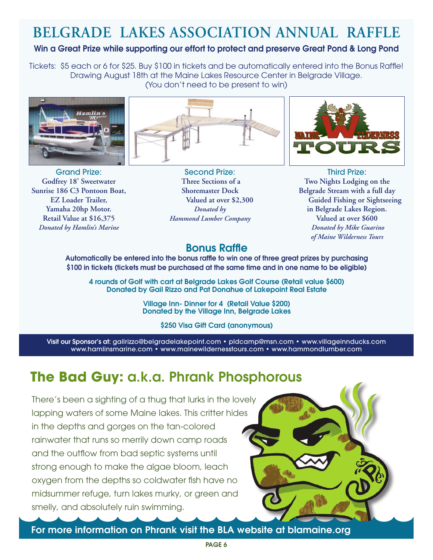## **BELGRADE LAKES ASSOCIATION ANNUAL RAFFLE**

#### Win a Great Prize while supporting our effort to protect and preserve Great Pond & Long Pond

Tickets: \$5 each or 6 for \$25. Buy \$100 in tickets and be automatically entered into the Bonus Raffle! Drawing August 18th at the Maine Lakes Resource Center in Belgrade Village. (You don't need to be present to win)



Grand Prize: **Godfrey 18' Sweetwater Sunrise 186 C3 Pontoon Boat, EZ Loader Trailer, Yamaha 20hp Motor. Retail Value at \$16,375** *Donated by Hamlin's Marine*



Second Prize: **Three Sections of a Shoremaster Dock Valued at over \$2,300**  *Donated by Hammond Lumber Company*



Third Prize: **Two Nights Lodging on the Belgrade Stream with a full day Guided Fishing or Sightseeing in Belgrade Lakes Region. Valued at over \$600** *Donated by Mike Guarino of Maine Wilderness Tours*

#### Bonus Raffle

Automatically be entered into the bonus raffle to win one of three great prizes by purchasing \$100 in tickets (tickets must be purchased at the same time and in one name to be eligible)

4 rounds of Golf with cart at Belgrade Lakes Golf Course (Retail value \$600) Donated by Gail Rizzo and Pat Donahue of Lakepoint Real Estate

> Village Inn- Dinner for 4 (Retail Value \$200) Donated by the Village Inn, Belgrade Lakes

> > \$250 Visa Gift Card (anonymous)

Visit our Sponsor's at: gailrizzo@belgradelakepoint.com • pldcamp@msn.com • www.villageinnducks.com www.hamlinsmarine.com • www.mainewildernesstours.com • www.hammondlumber.com

## **The Bad Guy:** a.k.a. Phrank Phosphorous

There's been a sighting of a thug that lurks in the lovely lapping waters of some Maine lakes. This critter hides in the depths and gorges on the tan-colored rainwater that runs so merrily down camp roads and the outflow from bad septic systems until strong enough to make the algae bloom, leach oxygen from the depths so coldwater fish have no midsummer refuge, turn lakes murky, or green and smelly, and absolutely ruin swimming.

For more information on Phrank visit the BLA website at blamaine.org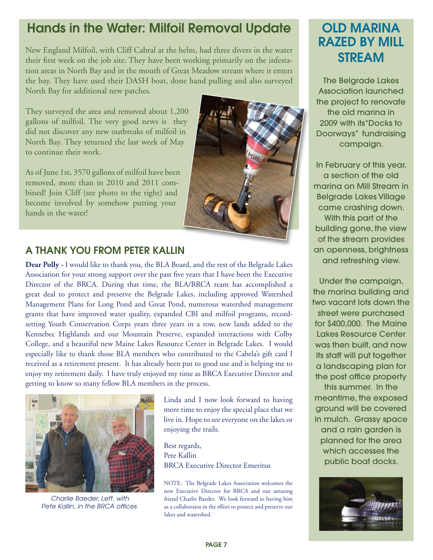## Hands in the Water: Milfoil Removal Update

New England Milfoil, with Cliff Cabral at the helm, had three divers in the water their first week on the job site. They have been working primarily on the infestation areas in North Bay and in the mouth of Great Meadow stream where it enters the bay. They have used their DASH boat, done hand pulling and also surveyed North Bay for additional new patches.

They surveyed the area and removed about 1,200 gallons of milfoil. The very good news is they did not discover any new outbreaks of milfoil in North Bay. They returned the last week of May to continue their work.

As of June 1st, 3570 gallons of milfoil have been removed, more than in 2010 and 2011 combined! Join Cliff (see photo to the right) and become involved by somehow putting your hands in the water!



#### A THANK YOU FROM PETER KALLIN

**Dear Polly -** I would like to thank you, the BLA Board, and the rest of the Belgrade Lakes Association for your strong support over the past five years that I have been the Executive Director of the BRCA. During that time, the BLA/BRCA team has accomplished a great deal to protect and preserve the Belgrade Lakes, including approved Watershed Management Plans for Long Pond and Great Pond, numerous watershed management grants that have improved water quality, expanded CBI and milfoil programs, recordsetting Youth Conservation Corps years three years in a row, new lands added to the Kennebec Highlands and our Mountain Preserve, expanded interactions with Colby College, and a beautiful new Maine Lakes Resource Center in Belgrade Lakes. I would especially like to thank those BLA members who contributed to the Cabela's gift card I received as a retirement present. It has already been put to good use and is helping me to enjoy my retirement daily. I have truly enjoyed my time as BRCA Executive Director and getting to know so many fellow BLA members in the process.



*Charlie Baeder, Left, with Pete Kallin, in the BRCA offices.*

Linda and I now look forward to having more time to enjoy the special place that we live in. Hope to see everyone on the lakes or enjoying the trails.

Best regards, Pete Kallin BRCA Executive Director Emeritus

NOTE: The Belgrade Lakes Association welcomes the new Executive Director for BRCA and our amazing friend Charlie Baeder. We look forward to having him as a collaborator in the effort to protect and preserve our lakes and watershed.

## OLD MARINA RAZED BY MILL STREAM

The Belgrade Lakes Association launched the project to renovate the old marina in 2009 with its"Docks to Doorways" fundraising campaign.

In February of this year, a section of the old marina on Mill Stream in Belgrade Lakes Village came crashing down. With this part of the building gone, the view of the stream provides an openness, brightness and refreshing view.

Under the campaign, the marina building and two vacant lots down the street were purchased for \$400,000. The Maine Lakes Resource Center was then built, and now its staff will put together a landscaping plan for the post office property

this summer. In the meantime, the exposed ground will be covered in mulch. Grassy space and a rain garden is planned for the area which accesses the public boat docks.